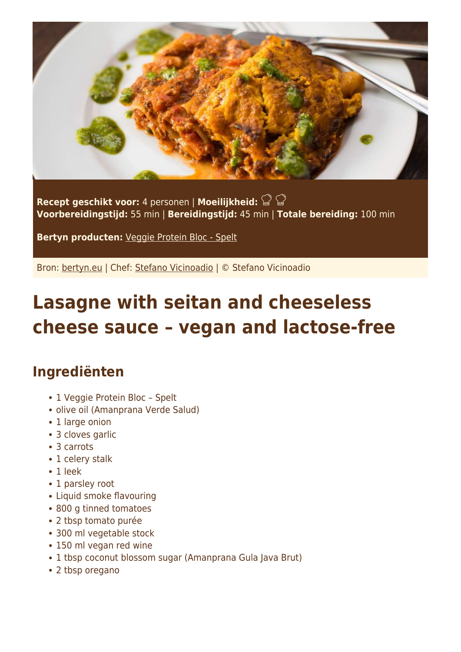

**Recept geschikt voor:** 4 personen | **Moeilijkheid: Voorbereidingstijd:** 55 min | **Bereidingstijd:** 45 min | **Totale bereiding:** 100 min

**Bertyn producten:** [Veggie Protein Bloc - Spelt](https://www.bertyn.eu/en/product/veggie-protein-bloc-spelt/)

Bron: [bertyn.eu](https://www.bertyn.eu/en/recipe/lasagne-seitan-vegan-cheese-sauce/) | Chef: [Stefano Vicinoadio](https://www.bertyn.eu/en/author/) | © Stefano Vicinoadio

# **Lasagne with seitan and cheeseless cheese sauce – vegan and lactose-free**

### **Ingrediënten**

- 1 Veggie Protein Bloc Spelt
- olive oil (Amanprana Verde Salud)
- 1 large onion
- 3 cloves garlic
- 3 carrots
- 1 celery stalk
- 1 leek
- 1 parsley root
- Liquid smoke flavouring
- 800 g tinned tomatoes
- 2 tbsp tomato purée
- 300 ml vegetable stock
- 150 ml vegan red wine
- 1 tbsp coconut blossom sugar (Amanprana Gula Java Brut)
- 2 tbsp oregano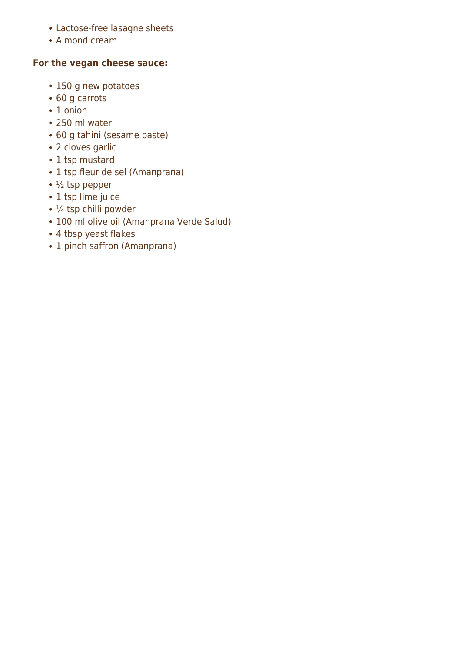- Lactose-free lasagne sheets
- Almond cream

#### **For the vegan cheese sauce:**

- 150 g new potatoes
- 60 g carrots
- 1 onion
- 250 ml water
- 60 g tahini (sesame paste)
- 2 cloves garlic
- 1 tsp mustard
- 1 tsp fleur de sel (Amanprana)
- $\cdot$   $\frac{1}{2}$  tsp pepper
- 1 tsp lime juice
- $\cdot$  ¼ tsp chilli powder
- 100 ml olive oil (Amanprana Verde Salud)
- 4 tbsp yeast flakes
- 1 pinch saffron (Amanprana)